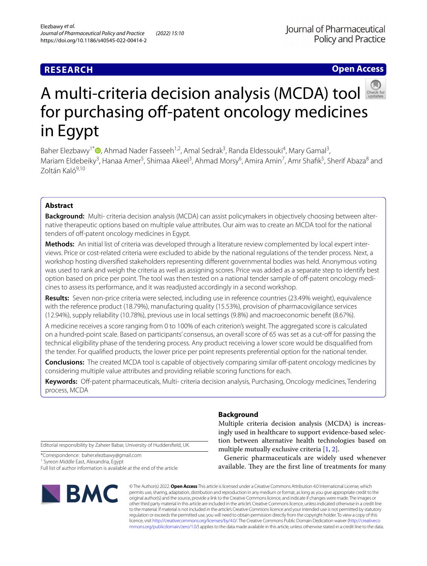# **RESEARCH**

**Open Access**

# Amulti-criteria decision analysis (MCDA) tool for purchasing off-patent oncology medicines in Egypt

Baher Elezbawy<sup>1\*</sup><sup>®</sup>[,](http://orcid.org/0000-0003-1335-9285) Ahmad Nader Fasseeh<sup>1,2</sup>, Amal Sedrak<sup>3</sup>, Randa Eldessouki<sup>4</sup>, Mary Gamal<sup>3</sup>, Mariam Eldebeiky<sup>3</sup>, Hanaa Amer<sup>5</sup>, Shimaa Akeel<sup>3</sup>, Ahmad Morsy<sup>6</sup>, Amira Amin<sup>7</sup>, Amr Shafik<sup>5</sup>, Sherif Abaza<sup>8</sup> and Zoltán Kaló9,10

# **Abstract**

**Background:** Multi- criteria decision analysis (MCDA) can assist policymakers in objectively choosing between alternative therapeutic options based on multiple value attributes. Our aim was to create an MCDA tool for the national tenders of off-patent oncology medicines in Egypt.

**Methods:** An initial list of criteria was developed through a literature review complemented by local expert interviews. Price or cost-related criteria were excluded to abide by the national regulations of the tender process. Next, a workshop hosting diversifed stakeholders representing diferent governmental bodies was held. Anonymous voting was used to rank and weigh the criteria as well as assigning scores. Price was added as a separate step to identify best option based on price per point. The tool was then tested on a national tender sample of off-patent oncology medicines to assess its performance, and it was readjusted accordingly in a second workshop.

**Results:** Seven non-price criteria were selected, including use in reference countries (23.49% weight), equivalence with the reference product (18.79%), manufacturing quality (15.53%), provision of pharmacovigilance services (12.94%), supply reliability (10.78%), previous use in local settings (9.8%) and macroeconomic beneft (8.67%).

A medicine receives a score ranging from 0 to 100% of each criterion's weight. The aggregated score is calculated on a hundred-point scale. Based on participants' consensus, an overall score of 65 was set as a cut-of for passing the technical eligibility phase of the tendering process. Any product receiving a lower score would be disqualifed from the tender. For qualifed products, the lower price per point represents preferential option for the national tender.

**Conclusions:** The created MCDA tool is capable of objectively comparing similar off-patent oncology medicines by considering multiple value attributes and providing reliable scoring functions for each.

**Keywords:** Of-patent pharmaceuticals, Multi- criteria decision analysis, Purchasing, Oncology medicines, Tendering process, MCDA

Editorial responsibility by Zaheer Babar, University of Huddersfeld, UK.

\*Correspondence: baher.elezbawy@gmail.com

<sup>1</sup> Syreon Middle East, Alexandria, Egypt

Full list of author information is available at the end of the article



# **Background**

Multiple criteria decision analysis (MCDA) is increasingly used in healthcare to support evidence-based selection between alternative health technologies based on multiple mutually exclusive criteria [[1,](#page-7-0) [2](#page-7-1)].

Generic pharmaceuticals are widely used whenever available. They are the first line of treatments for many

© The Author(s) 2022. **Open Access** This article is licensed under a Creative Commons Attribution 4.0 International License, which permits use, sharing, adaptation, distribution and reproduction in any medium or format, as long as you give appropriate credit to the original author(s) and the source, provide a link to the Creative Commons licence, and indicate if changes were made. The images or other third party material in this article are included in the article's Creative Commons licence, unless indicated otherwise in a credit line to the material. If material is not included in the article's Creative Commons licence and your intended use is not permitted by statutory regulation or exceeds the permitted use, you will need to obtain permission directly from the copyright holder. To view a copy of this licence, visit [http://creativecommons.org/licenses/by/4.0/.](http://creativecommons.org/licenses/by/4.0/) The Creative Commons Public Domain Dedication waiver ([http://creativeco](http://creativecommons.org/publicdomain/zero/1.0/) [mmons.org/publicdomain/zero/1.0/](http://creativecommons.org/publicdomain/zero/1.0/)) applies to the data made available in this article, unless otherwise stated in a credit line to the data.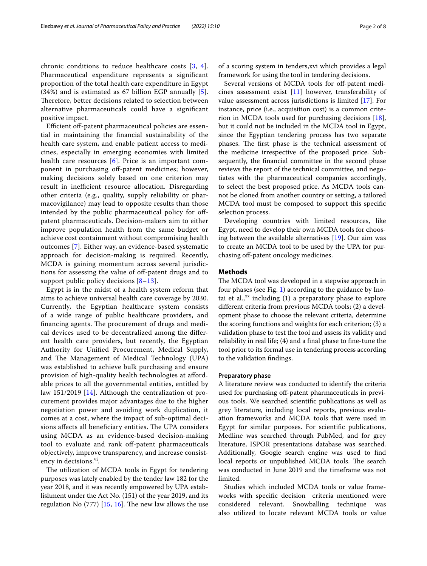chronic conditions to reduce healthcare costs [[3,](#page-7-2) [4\]](#page-7-3). Pharmaceutical expenditure represents a signifcant proportion of the total health care expenditure in Egypt (34%) and is estimated as 67 billion EGP annually [[5\]](#page-7-4). Therefore, better decisions related to selection between alternative pharmaceuticals could have a signifcant positive impact.

Efficient off-patent pharmaceutical policies are essential in maintaining the fnancial sustainability of the health care system, and enable patient access to medicines, especially in emerging economies with limited health care resources [\[6](#page-7-5)]. Price is an important component in purchasing off-patent medicines; however, making decisions solely based on one criterion may result in inefficient resource allocation. Disregarding other criteria (e.g., quality, supply reliability or pharmacovigilance) may lead to opposite results than those intended by the public pharmaceutical policy for ofpatent pharmaceuticals. Decision-makers aim to either improve population health from the same budget or achieve cost containment without compromising health outcomes [\[7\]](#page-7-6). Either way, an evidence-based systematic approach for decision-making is required. Recently, MCDA is gaining momentum across several jurisdictions for assessing the value of off-patent drugs and to support public policy decisions [[8–](#page-7-7)[13](#page-7-8)].

Egypt is in the midst of a health system reform that aims to achieve universal health care coverage by 2030. Currently, the Egyptian healthcare system consists of a wide range of public healthcare providers, and financing agents. The procurement of drugs and medical devices used to be decentralized among the diferent health care providers, but recently, the Egyptian Authority for Unifed Procurement, Medical Supply, and The Management of Medical Technology (UPA) was established to achieve bulk purchasing and ensure provision of high-quality health technologies at afordable prices to all the governmental entities, entitled by law 151/2019 [[14](#page-7-9)]. Although the centralization of procurement provides major advantages due to the higher negotiation power and avoiding work duplication, it comes at a cost, where the impact of sub-optimal decisions affects all beneficiary entities. The UPA considers using MCDA as an evidence-based decision-making tool to evaluate and rank off-patent pharmaceuticals objectively, improve transparency, and increase consistency in decisions. $v_1$ .

The utilization of MCDA tools in Egypt for tendering purposes was lately enabled by the tender law 182 for the year 2018, and it was recently empowered by UPA establishment under the Act No. (151) of the year 2019, and its regulation No  $(777)$  [\[15](#page-7-10), [16](#page-7-11)]. The new law allows the use of a scoring system in tenders,xvi which provides a legal framework for using the tool in tendering decisions.

Several versions of MCDA tools for off-patent medicines assessment exist  $[11]$  $[11]$  however, transferability of value assessment across jurisdictions is limited [\[17](#page-7-13)]. For instance, price (i.e., acquisition cost) is a common criterion in MCDA tools used for purchasing decisions [\[18](#page-7-14)], but it could not be included in the MCDA tool in Egypt, since the Egyptian tendering process has two separate phases. The first phase is the technical assessment of the medicine irrespective of the proposed price. Subsequently, the fnancial committee in the second phase reviews the report of the technical committee, and negotiates with the pharmaceutical companies accordingly, to select the best proposed price. As MCDA tools cannot be cloned from another country or setting, a tailored MCDA tool must be composed to support this specifc selection process.

Developing countries with limited resources, like Egypt, need to develop their own MCDA tools for choosing between the available alternatives [\[19](#page-7-15)]. Our aim was to create an MCDA tool to be used by the UPA for purchasing off-patent oncology medicines.

# **Methods**

The MCDA tool was developed in a stepwise approach in four phases (see Fig. [1](#page-5-0)) according to the guidance by Inotai et al., $^{xx}$  including (1) a preparatory phase to explore diferent criteria from previous MCDA tools; (2) a development phase to choose the relevant criteria, determine the scoring functions and weights for each criterion; (3) a validation phase to test the tool and assess its validity and reliability in real life; (4) and a final phase to fine-tune the tool prior to its formal use in tendering process according to the validation fndings.

# **Preparatory phase**

A literature review was conducted to identify the criteria used for purchasing off-patent pharmaceuticals in previous tools. We searched scientifc publications as well as grey literature, including local reports, previous evaluation frameworks and MCDA tools that were used in Egypt for similar purposes. For scientifc publications, Medline was searched through PubMed, and for grey literature, ISPOR presentations database was searched. Additionally, Google search engine was used to fnd local reports or unpublished MCDA tools. The search was conducted in June 2019 and the timeframe was not limited.

Studies which included MCDA tools or value frameworks with specifc decision criteria mentioned were considered relevant. Snowballing technique was also utilized to locate relevant MCDA tools or value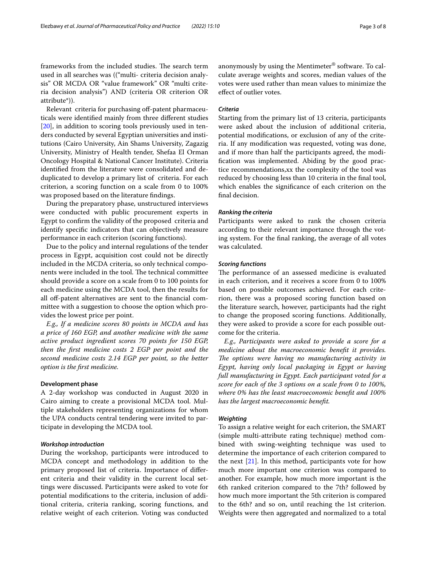frameworks from the included studies. The search term used in all searches was (("multi- criteria decision analysis" OR MCDA OR "value framework" OR "multi criteria decision analysis") AND (criteria OR criterion OR attribute\*)).

Relevant criteria for purchasing off-patent pharmaceuticals were identifed mainly from three diferent studies [[20\]](#page-7-16), in addition to scoring tools previously used in tenders conducted by several Egyptian universities and institutions (Cairo University, Ain Shams University, Zagazig University, Ministry of Health tender, Shefaa El Orman Oncology Hospital & National Cancer Institute). Criteria identifed from the literature were consolidated and deduplicated to develop a primary list of criteria. For each criterion, a scoring function on a scale from 0 to 100% was proposed based on the literature fndings.

During the preparatory phase, unstructured interviews were conducted with public procurement experts in Egypt to confrm the validity of the proposed criteria and identify specifc indicators that can objectively measure performance in each criterion (scoring functions).

Due to the policy and internal regulations of the tender process in Egypt, acquisition cost could not be directly included in the MCDA criteria, so only technical components were included in the tool. The technical committee should provide a score on a scale from 0 to 100 points for each medicine using the MCDA tool, then the results for all off-patent alternatives are sent to the financial committee with a suggestion to choose the option which provides the lowest price per point.

*E.g., If a medicine scores 80 points in MCDA and has a price of 160 EGP, and another medicine with the same active product ingredient scores 70 points for 150 EGP, then the frst medicine costs 2 EGP per point and the second medicine costs 2.14 EGP per point, so the better option is the frst medicine.*

#### **Development phase**

A 2-day workshop was conducted in August 2020 in Cairo aiming to create a provisional MCDA tool. Multiple stakeholders representing organizations for whom the UPA conducts central tendering were invited to participate in developing the MCDA tool.

# *Workshop introduction*

During the workshop, participants were introduced to MCDA concept and methodology in addition to the primary proposed list of criteria. Importance of diferent criteria and their validity in the current local settings were discussed. Participants were asked to vote for potential modifcations to the criteria, inclusion of additional criteria, criteria ranking, scoring functions, and relative weight of each criterion. Voting was conducted anonymously by using the Mentimeter® software. To calculate average weights and scores, median values of the votes were used rather than mean values to minimize the efect of outlier votes.

# *Criteria*

Starting from the primary list of 13 criteria, participants were asked about the inclusion of additional criteria, potential modifcations, or exclusion of any of the criteria. If any modifcation was requested, voting was done, and if more than half the participants agreed, the modifcation was implemented. Abiding by the good practice recommendations,xx the complexity of the tool was reduced by choosing less than 10 criteria in the fnal tool, which enables the signifcance of each criterion on the fnal decision.

#### *Ranking the criteria*

Participants were asked to rank the chosen criteria according to their relevant importance through the voting system. For the fnal ranking, the average of all votes was calculated.

## *Scoring functions*

The performance of an assessed medicine is evaluated in each criterion, and it receives a score from 0 to 100% based on possible outcomes achieved. For each criterion, there was a proposed scoring function based on the literature search, however, participants had the right to change the proposed scoring functions. Additionally, they were asked to provide a score for each possible outcome for the criteria.

*E.g., Participants were asked to provide a score for a medicine about the macroeconomic beneft it provides.*  The options were having no manufacturing activity in *Egypt, having only local packaging in Egypt or having full manufacturing in Egypt. Each participant voted for a score for each of the 3 options on a scale from 0 to 100%, where 0% has the least macroeconomic beneft and 100% has the largest macroeconomic beneft.*

## *Weighting*

To assign a relative weight for each criterion, the SMART (simple multi-attribute rating technique) method combined with swing-weighting technique was used to determine the importance of each criterion compared to the next [[21](#page-7-17)]. In this method, participants vote for how much more important one criterion was compared to another. For example, how much more important is the 6th ranked criterion compared to the 7th? followed by how much more important the 5th criterion is compared to the 6th? and so on, until reaching the 1st criterion. Weights were then aggregated and normalized to a total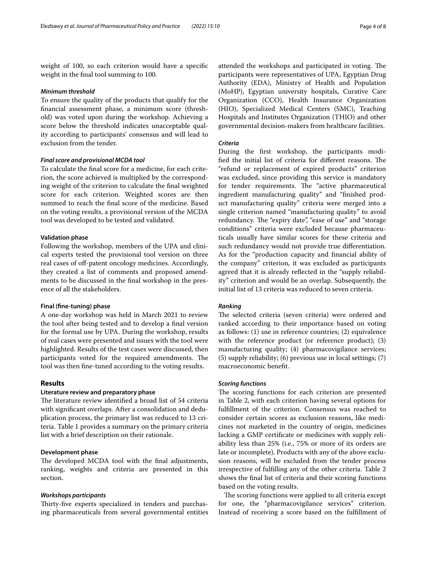weight of 100, so each criterion would have a specifc weight in the fnal tool summing to 100.

#### *Minimum threshold*

To ensure the quality of the products that qualify for the fnancial assessment phase, a minimum score (threshold) was voted upon during the workshop. Achieving a score below the threshold indicates unacceptable quality according to participants' consensus and will lead to exclusion from the tender.

# *Final score and provisional MCDA tool*

To calculate the fnal score for a medicine, for each criterion, the score achieved is multiplied by the corresponding weight of the criterion to calculate the fnal weighted score for each criterion. Weighted scores are then summed to reach the fnal score of the medicine. Based on the voting results, a provisional version of the MCDA tool was developed to be tested and validated.

# **Validation phase**

Following the workshop, members of the UPA and clinical experts tested the provisional tool version on three real cases of off-patent oncology medicines. Accordingly, they created a list of comments and proposed amendments to be discussed in the fnal workshop in the presence of all the stakeholders.

#### **Final (fne‑tuning) phase**

A one-day workshop was held in March 2021 to review the tool after being tested and to develop a fnal version for the formal use by UPA. During the workshop, results of real cases were presented and issues with the tool were highlighted. Results of the test cases were discussed, then participants voted for the required amendments. The tool was then fne-tuned according to the voting results.

# **Results**

#### **Literature review and preparatory phase**

The literature review identified a broad list of 54 criteria with signifcant overlaps. After a consolidation and deduplication process, the primary list was reduced to 13 criteria. Table 1 provides a summary on the primary criteria list with a brief description on their rationale.

# **Development phase**

The developed MCDA tool with the final adjustments, ranking, weights and criteria are presented in this section.

# *Workshops participants*

Thirty-five experts specialized in tenders and purchasing pharmaceuticals from several governmental entities attended the workshops and participated in voting. The participants were representatives of UPA, Egyptian Drug Authority (EDA), Ministry of Health and Population (MoHP), Egyptian university hospitals, Curative Care Organization (CCO), Health Insurance Organization (HIO), Specialized Medical Centers (SMC), Teaching Hospitals and Institutes Organization (THIO) and other governmental decision-makers from healthcare facilities.

# *Criteria*

During the frst workshop, the participants modified the initial list of criteria for different reasons. The "refund or replacement of expired products" criterion was excluded, since providing this service is mandatory for tender requirements. The "active pharmaceutical ingredient manufacturing quality" and "fnished product manufacturing quality" criteria were merged into a single criterion named "manufacturing quality" to avoid redundancy. The "expiry date", "ease of use" and "storage conditions" criteria were excluded because pharmaceuticals usually have similar scores for these criteria and such redundancy would not provide true diferentiation. As for the "production capacity and fnancial ability of the company" criterion, it was excluded as participants agreed that it is already reflected in the "supply reliability" criterion and would be an overlap. Subsequently, the initial list of 13 criteria was reduced to seven criteria.

# *Ranking*

The selected criteria (seven criteria) were ordered and ranked according to their importance based on voting as follows: (1) use in reference countries; (2) equivalence with the reference product (or reference product); (3) manufacturing quality; (4) pharmacovigilance services; (5) supply reliability; (6) previous use in local settings; (7) macroeconomic beneft.

#### *Scoring functions*

The scoring functions for each criterion are presented in Table 2, with each criterion having several options for fulfllment of the criterion. Consensus was reached to consider certain scores as exclusion reasons, like medicines not marketed in the country of origin, medicines lacking a GMP certifcate or medicines with supply reliability less than 25% (i.e., 75% or more of its orders are late or incomplete). Products with any of the above exclusion reasons, will be excluded from the tender process irrespective of fulflling any of the other criteria. Table 2 shows the fnal list of criteria and their scoring functions based on the voting results.

The scoring functions were applied to all criteria except for one, the "pharmacovigilance services" criterion. Instead of receiving a score based on the fulfllment of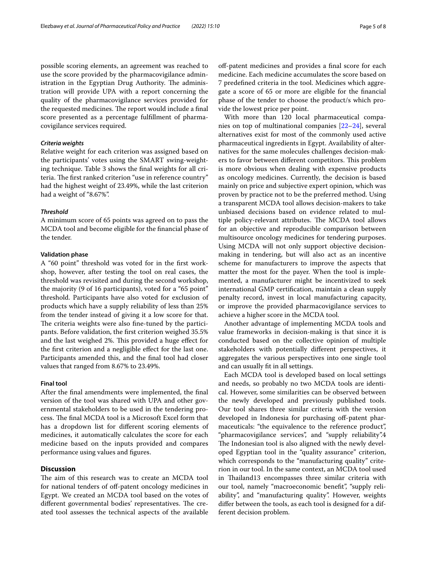possible scoring elements, an agreement was reached to use the score provided by the pharmacovigilance administration in the Egyptian Drug Authority. The administration will provide UPA with a report concerning the quality of the pharmacovigilance services provided for the requested medicines. The report would include a final score presented as a percentage fulfllment of pharmacovigilance services required.

# *Criteria weights*

Relative weight for each criterion was assigned based on the participants' votes using the SMART swing-weighting technique. Table 3 shows the fnal weights for all criteria. The first ranked criterion "use in reference country" had the highest weight of 23.49%, while the last criterion had a weight of "8.67%".

# *Threshold*

A minimum score of 65 points was agreed on to pass the MCDA tool and become eligible for the fnancial phase of the tender.

# **Validation phase**

A "60 point" threshold was voted for in the frst workshop, however, after testing the tool on real cases, the threshold was revisited and during the second workshop, the majority (9 of 16 participants), voted for a "65 point" threshold. Participants have also voted for exclusion of products which have a supply reliability of less than 25% from the tender instead of giving it a low score for that. The criteria weights were also fine-tuned by the participants. Before validation, the frst criterion weighed 35.5% and the last weighed 2%. This provided a huge effect for the frst criterion and a negligible efect for the last one. Participants amended this, and the fnal tool had closer values that ranged from 8.67% to 23.49%.

# **Final tool**

After the fnal amendments were implemented, the fnal version of the tool was shared with UPA and other governmental stakeholders to be used in the tendering process. The final MCDA tool is a Microsoft Excel form that has a dropdown list for diferent scoring elements of medicines, it automatically calculates the score for each medicine based on the inputs provided and compares performance using values and fgures.

# **Discussion**

The aim of this research was to create an MCDA tool for national tenders of off-patent oncology medicines in Egypt. We created an MCDA tool based on the votes of different governmental bodies' representatives. The created tool assesses the technical aspects of the available

off-patent medicines and provides a final score for each medicine. Each medicine accumulates the score based on 7 predefned criteria in the tool. Medicines which aggregate a score of 65 or more are eligible for the fnancial phase of the tender to choose the product/s which provide the lowest price per point.

With more than 120 local pharmaceutical companies on top of multinational companies [[22–](#page-7-18)[24\]](#page-7-19), several alternatives exist for most of the commonly used active pharmaceutical ingredients in Egypt. Availability of alternatives for the same molecules challenges decision-makers to favor between different competitors. This problem is more obvious when dealing with expensive products as oncology medicines. Currently, the decision is based mainly on price and subjective expert opinion, which was proven by practice not to be the preferred method. Using a transparent MCDA tool allows decision-makers to take unbiased decisions based on evidence related to multiple policy-relevant attributes. The MCDA tool allows for an objective and reproducible comparison between multisource oncology medicines for tendering purposes. Using MCDA will not only support objective decisionmaking in tendering, but will also act as an incentive scheme for manufacturers to improve the aspects that matter the most for the payer. When the tool is implemented, a manufacturer might be incentivized to seek international GMP certifcation, maintain a clean supply penalty record, invest in local manufacturing capacity, or improve the provided pharmacovigilance services to achieve a higher score in the MCDA tool.

Another advantage of implementing MCDA tools and value frameworks in decision-making is that since it is conducted based on the collective opinion of multiple stakeholders with potentially diferent perspectives, it aggregates the various perspectives into one single tool and can usually ft in all settings.

Each MCDA tool is developed based on local settings and needs, so probably no two MCDA tools are identical. However, some similarities can be observed between the newly developed and previously published tools. Our tool shares three similar criteria with the version developed in Indonesia for purchasing off-patent pharmaceuticals: "the equivalence to the reference product", "pharmacovigilance services", and "supply reliability".4 The Indonesian tool is also aligned with the newly developed Egyptian tool in the "quality assurance" criterion, which corresponds to the "manufacturing quality" criterion in our tool. In the same context, an MCDA tool used in Thailand13 encompasses three similar criteria with our tool, namely "macroeconomic beneft", "supply reliability", and "manufacturing quality". However, weights difer between the tools, as each tool is designed for a different decision problem.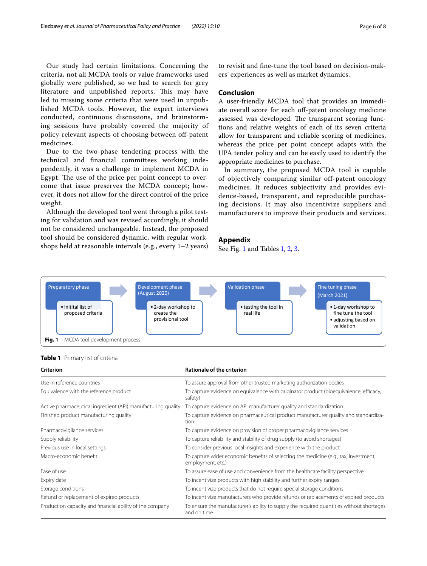Our study had certain limitations. Concerning the criteria, not all MCDA tools or value frameworks used globally were published, so we had to search for grey literature and unpublished reports. This may have led to missing some criteria that were used in unpublished MCDA tools. However, the expert interviews conducted, continuous discussions, and brainstorming sessions have probably covered the majority of policy-relevant aspects of choosing between off-patent medicines.

Due to the two-phase tendering process with the technical and fnancial committees working independently, it was a challenge to implement MCDA in Egypt. The use of the price per point concept to overcome that issue preserves the MCDA concept; however, it does not allow for the direct control of the price weight.

Although the developed tool went through a pilot testing for validation and was revised accordingly, it should not be considered unchangeable. Instead, the proposed tool should be considered dynamic, with regular workshops held at reasonable intervals (e.g., every 1–2 years) to revisit and fne-tune the tool based on decision-makers' experiences as well as market dynamics.

# **Conclusion**

A user-friendly MCDA tool that provides an immediate overall score for each off-patent oncology medicine assessed was developed. The transparent scoring functions and relative weights of each of its seven criteria allow for transparent and reliable scoring of medicines, whereas the price per point concept adapts with the UPA tender policy and can be easily used to identify the appropriate medicines to purchase.

In summary, the proposed MCDA tool is capable of objectively comparing similar off-patent oncology medicines. It reduces subjectivity and provides evidence-based, transparent, and reproducible purchasing decisions. It may also incentivize suppliers and manufacturers to improve their products and services.

# **Appendix**

See Fig. [1](#page-5-0) and Tables [1](#page-5-1), [2,](#page-6-0) [3](#page-6-1).



## <span id="page-5-1"></span><span id="page-5-0"></span>**Table 1** Primary list of criteria

| <b>Criterion</b>                                             | <b>Rationale of the criterion</b>                                                                         |
|--------------------------------------------------------------|-----------------------------------------------------------------------------------------------------------|
| Use in reference countries                                   | To assure approval from other trusted marketing authorization bodies                                      |
| Equivalence with the reference product                       | To capture evidence on equivalence with originator product (bioequivalence, efficacy,<br>safety)          |
| Active pharmaceutical ingredient (API) manufacturing quality | To capture evidence on API manufacturer quality and standardization                                       |
| Finished product manufacturing quality                       | To capture evidence on pharmaceutical product manufacturer quality and standardiza-<br>tion               |
| Pharmacovigilance services                                   | To capture evidence on provision of proper pharmacovigilance services                                     |
| Supply reliability                                           | To capture reliability and stability of drug supply (to avoid shortages)                                  |
| Previous use in local settings                               | To consider previous local insights and experience with the product                                       |
| Macro-economic benefit                                       | To capture wider economic benefits of selecting the medicine (e.g., tax, investment,<br>employment, etc.) |
| Ease of use                                                  | To assure ease of use and convenience from the healthcare facility perspective                            |
| Expiry date                                                  | To incentivize products with high stability and further expiry ranges                                     |
| Storage conditions                                           | To incentivize products that do not require special storage conditions                                    |
| Refund or replacement of expired products                    | To incentivize manufacturers who provide refunds or replacements of expired products                      |
| Production capacity and financial ability of the company     | To ensure the manufacturer's ability to supply the required quantities without shortages<br>and on time   |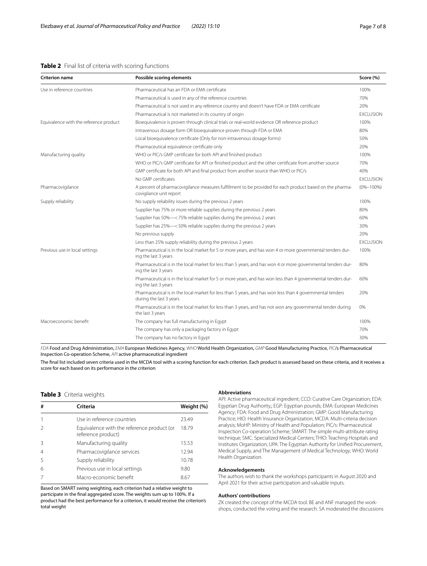# <span id="page-6-0"></span>**Table 2** Final list of criteria with scoring functions

| <b>Criterion name</b>                  | Possible scoring elements                                                                                                            | Score (%)        |
|----------------------------------------|--------------------------------------------------------------------------------------------------------------------------------------|------------------|
| Use in reference countries             | Pharmaceutical has an FDA or EMA certificate                                                                                         | 100%             |
|                                        | Pharmaceutical is used in any of the reference countries                                                                             | 70%              |
|                                        | Pharmaceutical is not used in any reference country and doesn't have FDA or EMA certificate                                          | 20%              |
|                                        | Pharmaceutical is not marketed in its country of origin                                                                              | <b>EXCLUSION</b> |
| Equivalence with the reference product | Bioequivalence is proven through clinical trials or real-world evidence OR reference product                                         | 100%             |
|                                        | Intravenous dosage form OR bioequivalence proven through FDA or EMA                                                                  | 80%              |
|                                        | Local bioequivalence certificate (Only for non-intravenous dosage forms)                                                             | 50%              |
|                                        | Pharmaceutical equivalence certificate only                                                                                          | 20%              |
| Manufacturing quality                  | WHO or PIC/s GMP certificate for both API and finished product                                                                       | 100%             |
|                                        | WHO or PIC/s GMP certificate for API or finished product and the other certificate from another source                               | 70%              |
|                                        | GMP certificate for both API and final product from another source than WHO or PIC/s                                                 | 40%              |
|                                        | No GMP certificates                                                                                                                  | <b>EXCLUSION</b> |
| Pharmacovigilance                      | A percent of pharmacovigilance measures fulfillment to be provided for each product based on the pharma-<br>covigilance unit report  | $(0% - 100%)$    |
| Supply reliability                     | No supply reliability issues during the previous 2 years                                                                             | 100%             |
|                                        | Supplier has 75% or more reliable supplies during the previous 2 years                                                               | 80%              |
|                                        | Supplier has 50%-<75% reliable supplies during the previous 2 years                                                                  | 60%              |
|                                        | Supplier has 25%-<50% reliable supplies during the previous 2 years                                                                  | 30%              |
|                                        | No previous supply                                                                                                                   | 20%              |
|                                        | Less than 25% supply reliability during the previous 2 years                                                                         | <b>EXCLUSION</b> |
| Previous use in local settings         | Pharmaceutical is in the local market for 5 or more years, and has won 4 or more governmental tenders dur-<br>ing the last 3 years   | 100%             |
|                                        | Pharmaceutical is in the local market for less than 5 years, and has won 4 or more governmental tenders dur-<br>ing the last 3 years | 80%              |
|                                        | Pharmaceutical is in the local market for 5 or more years, and has won less than 4 governmental tenders dur-<br>ing the last 3 years | 60%              |
|                                        | Pharmaceutical is in the local market for less than 5 years, and has won less than 4 governmental tenders<br>during the last 3 years | 20%              |
|                                        | Pharmaceutical is in the local market for less than 3 years, and has not won any governmental tender during<br>the last 3 years      | 0%               |
| Macroeconomic benefit                  | The company has full manufacturing in Egypt                                                                                          | 100%             |
|                                        | The company has only a packaging factory in Egypt                                                                                    | 70%              |
|                                        | The company has no factory in Egypt                                                                                                  | 30%              |

*FDA* Food and Drug Administration, *EMA* European Medicines Agency, *WHO* World Health Organization, *GMP* Good Manufacturing Practice, *PIC*/s Pharmaceutical Inspection Co-operation Scheme, *API* active pharmaceutical ingredient

The fnal list included seven criteria used in the MCDA tool with a scoring function for each criterion. Each product is assessed based on these criteria, and it receives a score for each based on its performance in the criterion

# <span id="page-6-1"></span>**Table 3** Criteria weights

| #              | Criteria                                                         | Weight (%) |
|----------------|------------------------------------------------------------------|------------|
|                | Use in reference countries                                       | 23.49      |
| $\mathcal{P}$  | Equivalence with the reference product (or<br>reference product) | 18.79      |
| 3              | Manufacturing quality                                            | 15.53      |
| $\overline{4}$ | Pharmacovigilance services                                       | 12.94      |
| 5              | Supply reliability                                               | 10.78      |
| 6              | Previous use in local settings                                   | 9.80       |
|                | Macro-economic benefit                                           | 8.67       |

Based on SMART swing weighting, each criterion had a relative weight to participate in the fnal aggregated score. The weights sum up to 100%. If a product had the best performance for a criterion, it would receive the criterion's total weight

#### **Abbreviations**

API: Active pharmaceutical ingredient; CCO: Curative Care Organization; EDA: Egyptian Drug Authority,; EGP: Egyptian pounds; EMA: European Medicines Agency; FDA: Food and Drug Administration; GMP: Good Manufacturing Practice; HIO: Health Insurance Organization; MCDA: Multi-criteria decision analysis; MoHP: Ministry of Health and Population; PIC/s: Pharmaceutical Inspection Co-operation Scheme; SMART: The simple multi-attribute rating technique; SMC: Specialized Medical Centers; THIO: Teaching Hospitals and Institutes Organization; UPA: The Egyptian Authority for Unifed Procurement, Medical Supply, and The Management of Medical Technology; WHO: World Health Organization.

#### **Acknowledgements**

The authors wish to thank the workshops participants in August 2020 and April 2021 for their active participation and valuable inputs.

#### **Authors' contributions**

ZK created the concept of the MCDA tool. BE and ANF managed the workshops, conducted the voting and the research. SA moderated the discussions